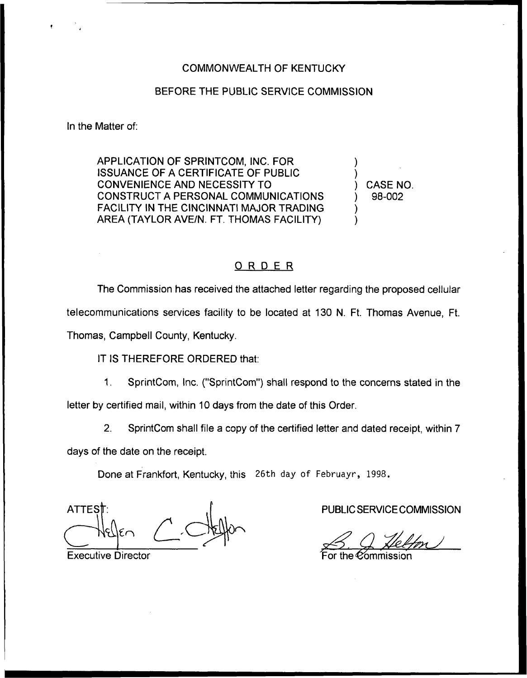## COMMONWEALTH OF KENTUCKY

## BEFORE THE PUBLIC SERVICE COMMISSION

In the Matter of:

APPLICATION OF SPRINTCOM, INC. FOR ISSUANCE OF A CERTIFICATE OF PUBLIC CONVENIENCE AND NECESSITY TO CONSTRUCT A PERSONAL COMMUNICATIONS FACILITY IN THE CINCINNATI MAJOR TRADING AREA (TAYLOR AVE/N. FT. THOMAS FACILITY)

) CASE NO. ) 98-002

) )

) )

## ORDER

The Commission has received the attached letter regarding the proposed cellular telecommunications services facility to be located at 130 N. Ft. Thomas Avenue, Ft. Thomas, Campbell County, Kentucky.

IT IS THEREFORE ORDERED that:

 $\mathbf 1$ SprintCom, lnc. ("SprintCom") shall respond to the concerns stated in the letter by certified mail, within 10 days from the date of this Order.

2. SprintCom shall file a copy of the certified letter and dated receipt, within 7

days of the date on the receipt.

Done at Frankfort, Kentucky, this 26th day of Februayr, 1998.

**ATTES** 

Executive Director

PUBLIC SERVICE COMMISSION

Pommission